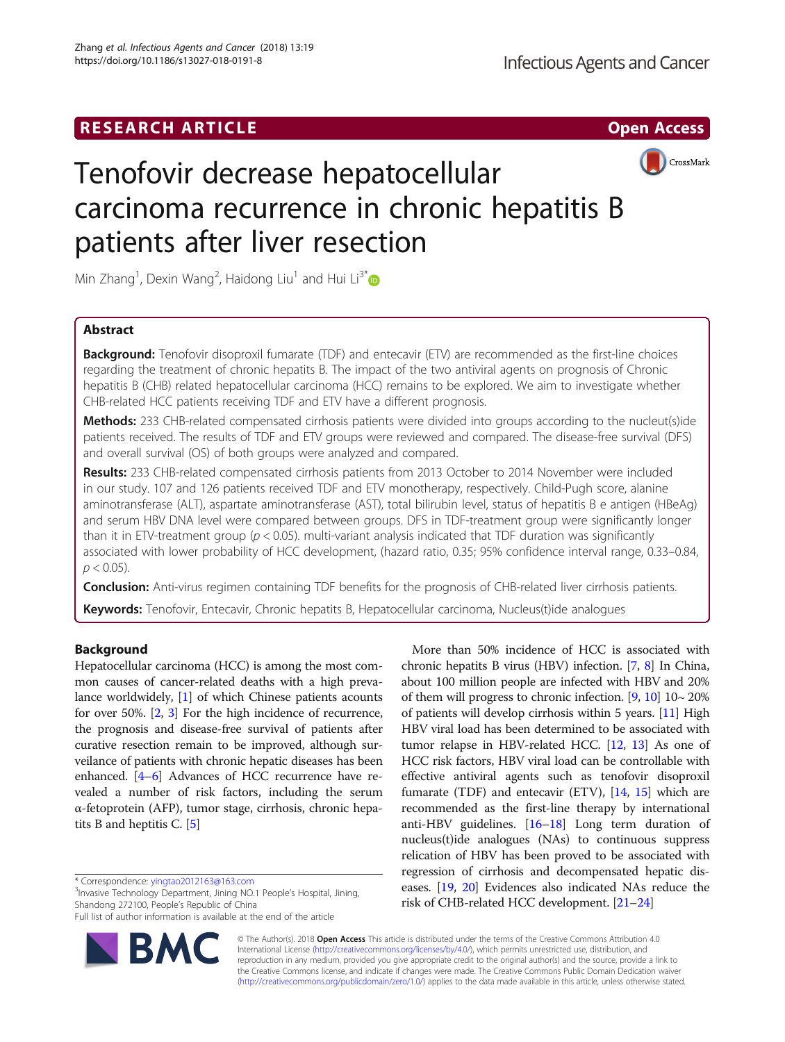# **RESEARCH ARTICLE External Structure Community Community Community Community Community Community Community Community**



# Tenofovir decrease hepatocellular carcinoma recurrence in chronic hepatitis B patients after liver resection

Min Zhang<sup>1</sup>, Dexin Wang<sup>2</sup>, Haidong Liu<sup>1</sup> and Hui Li<sup>3[\\*](http://orcid.org/0000-0002-0574-723X)</sup>

## Abstract

**Background:** Tenofovir disoproxil fumarate (TDF) and entecavir (ETV) are recommended as the first-line choices regarding the treatment of chronic hepatits B. The impact of the two antiviral agents on prognosis of Chronic hepatitis B (CHB) related hepatocellular carcinoma (HCC) remains to be explored. We aim to investigate whether CHB-related HCC patients receiving TDF and ETV have a different prognosis.

Methods: 233 CHB-related compensated cirrhosis patients were divided into groups according to the nucleut(s)ide patients received. The results of TDF and ETV groups were reviewed and compared. The disease-free survival (DFS) and overall survival (OS) of both groups were analyzed and compared.

Results: 233 CHB-related compensated cirrhosis patients from 2013 October to 2014 November were included in our study. 107 and 126 patients received TDF and ETV monotherapy, respectively. Child-Pugh score, alanine aminotransferase (ALT), aspartate aminotransferase (AST), total bilirubin level, status of hepatitis B e antigen (HBeAg) and serum HBV DNA level were compared between groups. DFS in TDF-treatment group were significantly longer than it in ETV-treatment group ( $p < 0.05$ ). multi-variant analysis indicated that TDF duration was significantly associated with lower probability of HCC development, (hazard ratio, 0.35; 95% confidence interval range, 0.33–0.84,  $p < 0.05$ ).

Conclusion: Anti-virus regimen containing TDF benefits for the prognosis of CHB-related liver cirrhosis patients.

Keywords: Tenofovir, Entecavir, Chronic hepatits B, Hepatocellular carcinoma, Nucleus(t)ide analogues

# Background

Hepatocellular carcinoma (HCC) is among the most common causes of cancer-related deaths with a high prevalance worldwidely, [\[1](#page-4-0)] of which Chinese patients acounts for over 50%. [\[2](#page-4-0), [3](#page-4-0)] For the high incidence of recurrence, the prognosis and disease-free survival of patients after curative resection remain to be improved, although surveilance of patients with chronic hepatic diseases has been enhanced. [[4](#page-4-0)–[6](#page-4-0)] Advances of HCC recurrence have revealed a number of risk factors, including the serum α-fetoprotein (AFP), tumor stage, cirrhosis, chronic hepatits B and heptitis C. [\[5\]](#page-4-0)

\* Correspondence: [yingtao2012163@163.com](mailto:yingtao2012163@163.com) <sup>3</sup>

<sup>3</sup> Invasive Technology Department, Jining NO.1 People's Hospital, Jining, Shandong 272100, People's Republic of China

Full list of author information is available at the end of the article



More than 50% incidence of HCC is associated with chronic hepatits B virus (HBV) infection. [[7,](#page-4-0) [8\]](#page-4-0) In China, about 100 million people are infected with HBV and 20% of them will progress to chronic infection.  $[9, 10]$  $[9, 10]$  $[9, 10]$  10~20% of patients will develop cirrhosis within 5 years. [\[11\]](#page-4-0) High HBV viral load has been determined to be associated with tumor relapse in HBV-related HCC. [\[12,](#page-4-0) [13](#page-4-0)] As one of HCC risk factors, HBV viral load can be controllable with effective antiviral agents such as tenofovir disoproxil fumarate (TDF) and entecavir (ETV), [\[14,](#page-4-0) [15](#page-4-0)] which are recommended as the first-line therapy by international anti-HBV guidelines. [\[16](#page-4-0)–[18\]](#page-4-0) Long term duration of nucleus(t)ide analogues (NAs) to continuous suppress relication of HBV has been proved to be associated with regression of cirrhosis and decompensated hepatic diseases. [[19](#page-4-0), [20](#page-4-0)] Evidences also indicated NAs reduce the risk of CHB-related HCC development. [\[21](#page-5-0)–[24](#page-5-0)]

© The Author(s). 2018 Open Access This article is distributed under the terms of the Creative Commons Attribution 4.0 International License [\(http://creativecommons.org/licenses/by/4.0/](http://creativecommons.org/licenses/by/4.0/)), which permits unrestricted use, distribution, and reproduction in any medium, provided you give appropriate credit to the original author(s) and the source, provide a link to the Creative Commons license, and indicate if changes were made. The Creative Commons Public Domain Dedication waiver [\(http://creativecommons.org/publicdomain/zero/1.0/](http://creativecommons.org/publicdomain/zero/1.0/)) applies to the data made available in this article, unless otherwise stated.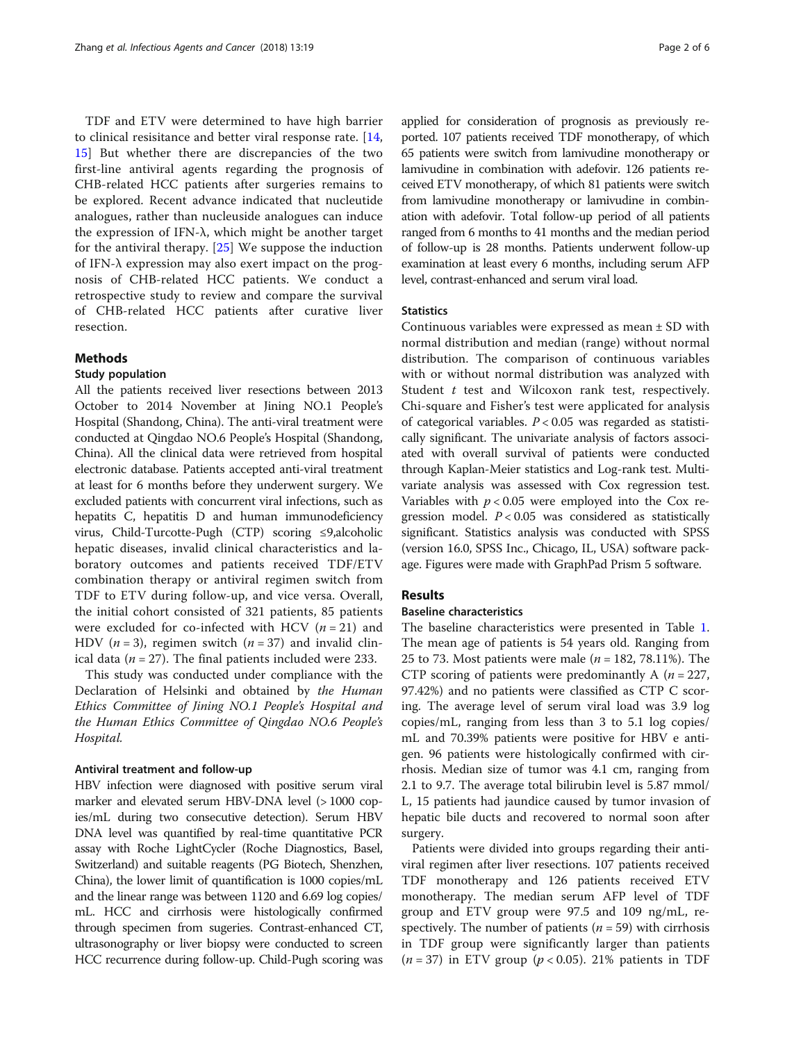TDF and ETV were determined to have high barrier to clinical resisitance and better viral response rate. [\[14](#page-4-0), [15\]](#page-4-0) But whether there are discrepancies of the two first-line antiviral agents regarding the prognosis of CHB-related HCC patients after surgeries remains to be explored. Recent advance indicated that nucleutide analogues, rather than nucleuside analogues can induce the expression of IFN- $\lambda$ , which might be another target for the antiviral therapy. [\[25](#page-5-0)] We suppose the induction of IFN-λ expression may also exert impact on the prognosis of CHB-related HCC patients. We conduct a retrospective study to review and compare the survival of CHB-related HCC patients after curative liver resection.

#### Methods

#### Study population

All the patients received liver resections between 2013 October to 2014 November at Jining NO.1 People's Hospital (Shandong, China). The anti-viral treatment were conducted at Qingdao NO.6 People's Hospital (Shandong, China). All the clinical data were retrieved from hospital electronic database. Patients accepted anti-viral treatment at least for 6 months before they underwent surgery. We excluded patients with concurrent viral infections, such as hepatits C, hepatitis D and human immunodeficiency virus, Child-Turcotte-Pugh (CTP) scoring ≤9,alcoholic hepatic diseases, invalid clinical characteristics and laboratory outcomes and patients received TDF/ETV combination therapy or antiviral regimen switch from TDF to ETV during follow-up, and vice versa. Overall, the initial cohort consisted of 321 patients, 85 patients were excluded for co-infected with HCV  $(n = 21)$  and HDV ( $n = 3$ ), regimen switch ( $n = 37$ ) and invalid clinical data ( $n = 27$ ). The final patients included were 233.

This study was conducted under compliance with the Declaration of Helsinki and obtained by the Human Ethics Committee of Jining NO.1 People's Hospital and the Human Ethics Committee of Qingdao NO.6 People's Hospital.

#### Antiviral treatment and follow-up

HBV infection were diagnosed with positive serum viral marker and elevated serum HBV-DNA level (>1000 copies/mL during two consecutive detection). Serum HBV DNA level was quantified by real-time quantitative PCR assay with Roche LightCycler (Roche Diagnostics, Basel, Switzerland) and suitable reagents (PG Biotech, Shenzhen, China), the lower limit of quantification is 1000 copies/mL and the linear range was between 1120 and 6.69 log copies/ mL. HCC and cirrhosis were histologically confirmed through specimen from sugeries. Contrast-enhanced CT, ultrasonography or liver biopsy were conducted to screen HCC recurrence during follow-up. Child-Pugh scoring was

applied for consideration of prognosis as previously reported. 107 patients received TDF monotherapy, of which 65 patients were switch from lamivudine monotherapy or lamivudine in combination with adefovir. 126 patients received ETV monotherapy, of which 81 patients were switch from lamivudine monotherapy or lamivudine in combination with adefovir. Total follow-up period of all patients ranged from 6 months to 41 months and the median period of follow-up is 28 months. Patients underwent follow-up examination at least every 6 months, including serum AFP level, contrast-enhanced and serum viral load.

#### **Statistics**

Continuous variables were expressed as mean ± SD with normal distribution and median (range) without normal distribution. The comparison of continuous variables with or without normal distribution was analyzed with Student  $t$  test and Wilcoxon rank test, respectively. Chi-square and Fisher's test were applicated for analysis of categorical variables.  $P < 0.05$  was regarded as statistically significant. The univariate analysis of factors associated with overall survival of patients were conducted through Kaplan-Meier statistics and Log-rank test. Multivariate analysis was assessed with Cox regression test. Variables with  $p < 0.05$  were employed into the Cox regression model.  $P < 0.05$  was considered as statistically significant. Statistics analysis was conducted with SPSS (version 16.0, SPSS Inc., Chicago, IL, USA) software package. Figures were made with GraphPad Prism 5 software.

#### Results

### Baseline characteristics

The baseline characteristics were presented in Table [1](#page-2-0). The mean age of patients is 54 years old. Ranging from 25 to 73. Most patients were male ( $n = 182, 78.11\%$ ). The CTP scoring of patients were predominantly A ( $n = 227$ , 97.42%) and no patients were classified as CTP C scoring. The average level of serum viral load was 3.9 log copies/mL, ranging from less than 3 to 5.1 log copies/ mL and 70.39% patients were positive for HBV e antigen. 96 patients were histologically confirmed with cirrhosis. Median size of tumor was 4.1 cm, ranging from 2.1 to 9.7. The average total bilirubin level is 5.87 mmol/ L, 15 patients had jaundice caused by tumor invasion of hepatic bile ducts and recovered to normal soon after surgery.

Patients were divided into groups regarding their antiviral regimen after liver resections. 107 patients received TDF monotherapy and 126 patients received ETV monotherapy. The median serum AFP level of TDF group and ETV group were 97.5 and 109 ng/mL, respectively. The number of patients ( $n = 59$ ) with cirrhosis in TDF group were significantly larger than patients  $(n = 37)$  in ETV group  $(p < 0.05)$ . 21% patients in TDF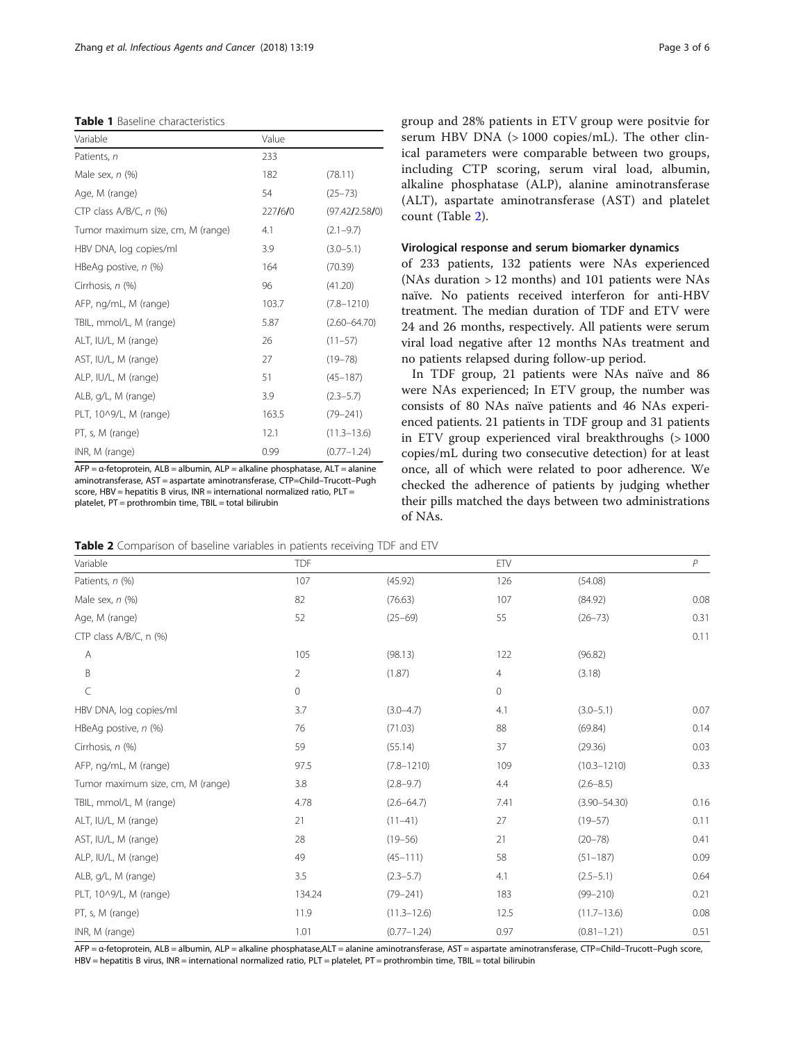<span id="page-2-0"></span>Table 1 Baseline characteristics

| Variable                          | Value   |                  |
|-----------------------------------|---------|------------------|
| Patients, n                       | 233     |                  |
| Male sex, $n$ (%)                 | 182     | (78.11)          |
| Age, M (range)                    | 54      | $(25 - 73)$      |
| CTP class $A/B/C$ , n $(\%)$      | 227/6/0 | (97.42/2.58/0)   |
| Tumor maximum size, cm, M (range) | 4.1     | $(2.1 - 9.7)$    |
| HBV DNA, log copies/ml            | 3.9     | $(3.0 - 5.1)$    |
| HBeAg postive, $n$ (%)            | 164     | (70.39)          |
| Cirrhosis, n (%)                  | 96      | (41.20)          |
| AFP, ng/mL, M (range)             | 103.7   | $(7.8 - 1210)$   |
| TBIL, mmol/L, M (range)           | 5.87    | $(2.60 - 64.70)$ |
| ALT, IU/L, M (range)              | 26      | $(11 - 57)$      |
| AST, IU/L, M (range)              | 27      | $(19 - 78)$      |
| ALP, IU/L, M (range)              | 51      | $(45 - 187)$     |
| ALB, g/L, M (range)               | 3.9     | $(2.3 - 5.7)$    |
| PLT, 10^9/L, M (range)            | 163.5   | $(79 - 241)$     |
| PT, s, M (range)                  | 12.1    | $(11.3 - 13.6)$  |
| INR, M (range)                    | 0.99    | $(0.77 - 1.24)$  |

AFP = α-fetoprotein, ALB = albumin, ALP = alkaline phosphatase, ALT = alanine aminotransferase, AST = aspartate aminotransferase, CTP=Child–Trucott–Pugh score, HBV = hepatitis B virus, INR = international normalized ratio, PLT = platelet, PT = prothrombin time, TBIL = total bilirubin

group and 28% patients in ETV group were positvie for serum HBV DNA (> 1000 copies/mL). The other clinical parameters were comparable between two groups, including CTP scoring, serum viral load, albumin, alkaline phosphatase (ALP), alanine aminotransferase (ALT), aspartate aminotransferase (AST) and platelet count (Table 2).

#### Virological response and serum biomarker dynamics

of 233 patients, 132 patients were NAs experienced (NAs duration > 12 months) and 101 patients were NAs naïve. No patients received interferon for anti-HBV treatment. The median duration of TDF and ETV were 24 and 26 months, respectively. All patients were serum viral load negative after 12 months NAs treatment and no patients relapsed during follow-up period.

In TDF group, 21 patients were NAs naïve and 86 were NAs experienced; In ETV group, the number was consists of 80 NAs naïve patients and 46 NAs experienced patients. 21 patients in TDF group and 31 patients in ETV group experienced viral breakthroughs (> 1000 copies/mL during two consecutive detection) for at least once, all of which were related to poor adherence. We checked the adherence of patients by judging whether their pills matched the days between two administrations of NAs.

| <b>Table 2</b> Comparison of baseline variables in patients receiving TDF and ETV |  |  |  |  |  |
|-----------------------------------------------------------------------------------|--|--|--|--|--|
|-----------------------------------------------------------------------------------|--|--|--|--|--|

| Variable                          | <b>TDF</b>     |                 | ETV     |                  | P    |
|-----------------------------------|----------------|-----------------|---------|------------------|------|
| Patients, n (%)                   | 107            | (45.92)         | 126     | (54.08)          |      |
| Male sex, $n$ (%)                 | 82             | (76.63)         | 107     | (84.92)          | 0.08 |
| Age, M (range)                    | 52             | $(25-69)$       | 55      | $(26 - 73)$      | 0.31 |
| CTP class A/B/C, n (%)            |                |                 |         |                  | 0.11 |
| А                                 | 105            | (98.13)         | 122     | (96.82)          |      |
| $\sf B$                           | $\overline{2}$ | (1.87)          | 4       | (3.18)           |      |
| C                                 | $\mathbf 0$    |                 | $\circ$ |                  |      |
| HBV DNA, log copies/ml            | 3.7            | $(3.0 - 4.7)$   | 4.1     | $(3.0 - 5.1)$    | 0.07 |
| HBeAg postive, $n$ (%)            | 76             | (71.03)         | 88      | (69.84)          | 0.14 |
| Cirrhosis, n (%)                  | 59             | (55.14)         | 37      | (29.36)          | 0.03 |
| AFP, ng/mL, M (range)             | 97.5           | $(7.8 - 1210)$  | 109     | $(10.3 - 1210)$  | 0.33 |
| Tumor maximum size, cm, M (range) | 3.8            | $(2.8 - 9.7)$   | 4.4     | $(2.6 - 8.5)$    |      |
| TBIL, mmol/L, M (range)           | 4.78           | $(2.6 - 64.7)$  | 7.41    | $(3.90 - 54.30)$ | 0.16 |
| ALT, IU/L, M (range)              | 21             | $(11-41)$       | 27      | $(19 - 57)$      | 0.11 |
| AST, IU/L, M (range)              | 28             | $(19 - 56)$     | 21      | $(20 - 78)$      | 0.41 |
| ALP, IU/L, M (range)              | 49             | $(45 - 111)$    | 58      | $(51 - 187)$     | 0.09 |
| ALB, g/L, M (range)               | 3.5            | $(2.3 - 5.7)$   | 4.1     | $(2.5 - 5.1)$    | 0.64 |
| PLT, 10^9/L, M (range)            | 134.24         | $(79 - 241)$    | 183     | $(99 - 210)$     | 0.21 |
| PT, s, M (range)                  | 11.9           | $(11.3 - 12.6)$ | 12.5    | $(11.7 - 13.6)$  | 0.08 |
| INR, M (range)                    | 1.01           | $(0.77 - 1.24)$ | 0.97    | $(0.81 - 1.21)$  | 0.51 |

AFP = α-fetoprotein, ALB = albumin, ALP = alkaline phosphatase,ALT = alanine aminotransferase, AST = aspartate aminotransferase, CTP=Child–Trucott–Pugh score, HBV = hepatitis B virus, INR = international normalized ratio, PLT = platelet, PT = prothrombin time, TBIL = total bilirubin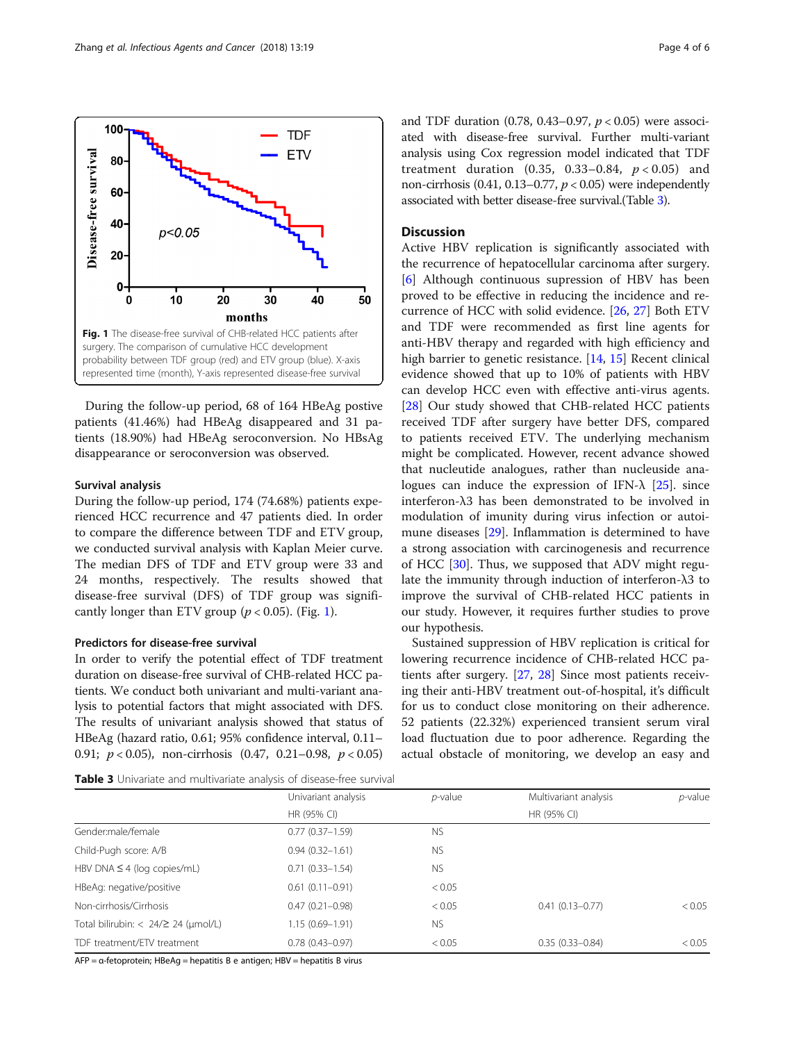

During the follow-up period, 68 of 164 HBeAg postive patients (41.46%) had HBeAg disappeared and 31 patients (18.90%) had HBeAg seroconversion. No HBsAg disappearance or seroconversion was observed.

#### Survival analysis

During the follow-up period, 174 (74.68%) patients experienced HCC recurrence and 47 patients died. In order to compare the difference between TDF and ETV group, we conducted survival analysis with Kaplan Meier curve. The median DFS of TDF and ETV group were 33 and 24 months, respectively. The results showed that disease-free survival (DFS) of TDF group was significantly longer than ETV group ( $p < 0.05$ ). (Fig. 1).

#### Predictors for disease-free survival

In order to verify the potential effect of TDF treatment duration on disease-free survival of CHB-related HCC patients. We conduct both univariant and multi-variant analysis to potential factors that might associated with DFS. The results of univariant analysis showed that status of HBeAg (hazard ratio, 0.61; 95% confidence interval, 0.11– 0.91; p < 0.05), non-cirrhosis (0.47, 0.21–0.98, p < 0.05)

**Table 3** Univariate and multivariate analysis of disease-free survival

and TDF duration (0.78, 0.43–0.97,  $p < 0.05$ ) were associated with disease-free survival. Further multi-variant analysis using Cox regression model indicated that TDF treatment duration  $(0.35, 0.33-0.84, p < 0.05)$  and non-cirrhosis (0.41, 0.13–0.77,  $p < 0.05$ ) were independently associated with better disease-free survival.(Table 3).

#### **Discussion**

Active HBV replication is significantly associated with the recurrence of hepatocellular carcinoma after surgery. [[6\]](#page-4-0) Although continuous supression of HBV has been proved to be effective in reducing the incidence and recurrence of HCC with solid evidence. [[26,](#page-5-0) [27\]](#page-5-0) Both ETV and TDF were recommended as first line agents for anti-HBV therapy and regarded with high efficiency and high barrier to genetic resistance. [[14,](#page-4-0) [15\]](#page-4-0) Recent clinical evidence showed that up to 10% of patients with HBV can develop HCC even with effective anti-virus agents. [[28\]](#page-5-0) Our study showed that CHB-related HCC patients received TDF after surgery have better DFS, compared to patients received ETV. The underlying mechanism might be complicated. However, recent advance showed that nucleutide analogues, rather than nucleuside analogues can induce the expression of IFN- $\lambda$  [[25\]](#page-5-0). since interferon-λ3 has been demonstrated to be involved in modulation of imunity during virus infection or autoimune diseases [[29](#page-5-0)]. Inflammation is determined to have a strong association with carcinogenesis and recurrence of HCC [[30\]](#page-5-0). Thus, we supposed that ADV might regulate the immunity through induction of interferon-λ3 to improve the survival of CHB-related HCC patients in our study. However, it requires further studies to prove our hypothesis.

Sustained suppression of HBV replication is critical for lowering recurrence incidence of CHB-related HCC patients after surgery. [[27](#page-5-0), [28](#page-5-0)] Since most patients receiving their anti-HBV treatment out-of-hospital, it's difficult for us to conduct close monitoring on their adherence. 52 patients (22.32%) experienced transient serum viral load fluctuation due to poor adherence. Regarding the actual obstacle of monitoring, we develop an easy and

|             | $p$ -value                                                                                                                                                       | Multivariant analysis | p-value     |
|-------------|------------------------------------------------------------------------------------------------------------------------------------------------------------------|-----------------------|-------------|
| HR (95% CI) |                                                                                                                                                                  |                       |             |
|             | <b>NS</b>                                                                                                                                                        |                       |             |
|             | <b>NS</b>                                                                                                                                                        |                       |             |
|             | <b>NS</b>                                                                                                                                                        |                       |             |
|             | < 0.05                                                                                                                                                           |                       |             |
|             | < 0.05                                                                                                                                                           | $0.41(0.13 - 0.77)$   | < 0.05      |
|             | <b>NS</b>                                                                                                                                                        |                       |             |
|             | < 0.05                                                                                                                                                           | $0.35(0.33 - 0.84)$   | < 0.05      |
|             | $0.77(0.37 - 1.59)$<br>$0.94(0.32 - 1.61)$<br>$0.71(0.33 - 1.54)$<br>$0.61(0.11 - 0.91)$<br>$0.47(0.21 - 0.98)$<br>$1.15(0.69 - 1.91)$<br>$0.78$ $(0.43 - 0.97)$ |                       | HR (95% CI) |

AFP = α-fetoprotein; HBeAg = hepatitis B e antigen; HBV = hepatitis B virus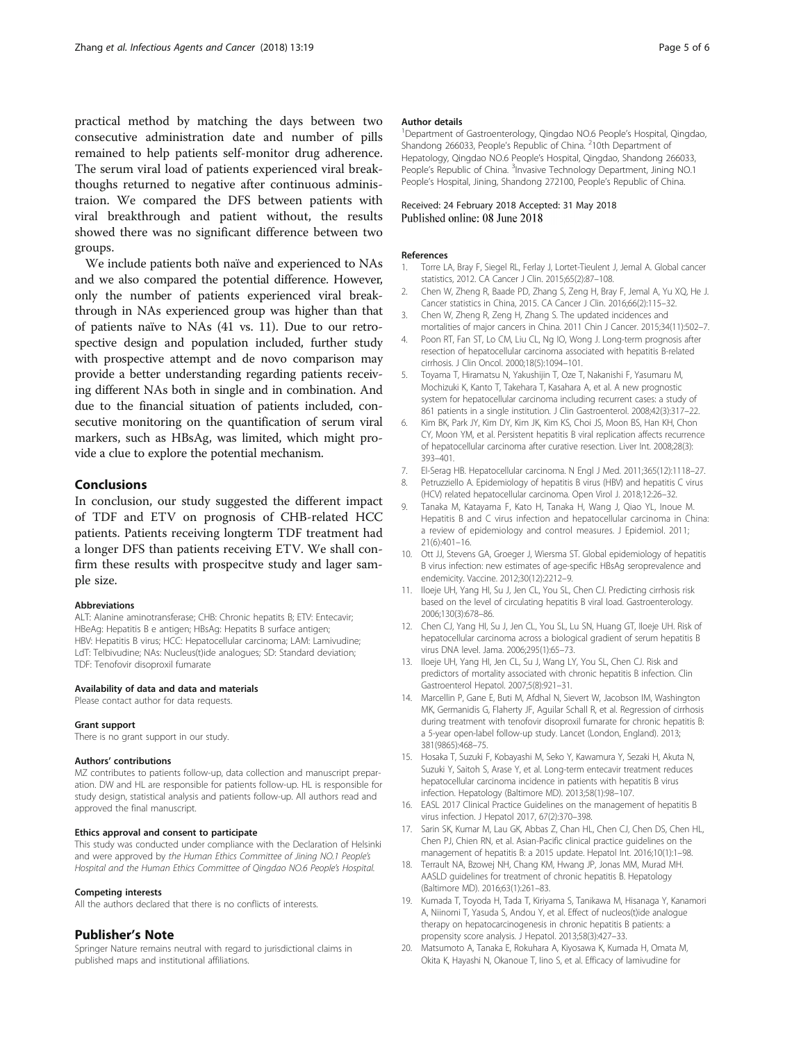<span id="page-4-0"></span>practical method by matching the days between two consecutive administration date and number of pills remained to help patients self-monitor drug adherence. The serum viral load of patients experienced viral breakthoughs returned to negative after continuous administraion. We compared the DFS between patients with viral breakthrough and patient without, the results showed there was no significant difference between two groups.

We include patients both naïve and experienced to NAs and we also compared the potential difference. However, only the number of patients experienced viral breakthrough in NAs experienced group was higher than that of patients naïve to NAs (41 vs. 11). Due to our retrospective design and population included, further study with prospective attempt and de novo comparison may provide a better understanding regarding patients receiving different NAs both in single and in combination. And due to the financial situation of patients included, consecutive monitoring on the quantification of serum viral markers, such as HBsAg, was limited, which might provide a clue to explore the potential mechanism.

#### Conclusions

In conclusion, our study suggested the different impact of TDF and ETV on prognosis of CHB-related HCC patients. Patients receiving longterm TDF treatment had a longer DFS than patients receiving ETV. We shall confirm these results with prospecitve study and lager sample size.

#### Abbreviations

ALT: Alanine aminotransferase; CHB: Chronic hepatits B; ETV: Entecavir; HBeAg: Hepatitis B e antigen; HBsAg: Hepatits B surface antigen; HBV: Hepatitis B virus; HCC: Hepatocellular carcinoma; LAM: Lamivudine; LdT: Telbivudine; NAs: Nucleus(t)ide analogues; SD: Standard deviation; TDF: Tenofovir disoproxil fumarate

#### Availability of data and data and materials

Please contact author for data requests.

#### Grant support

There is no grant support in our study.

#### Authors' contributions

MZ contributes to patients follow-up, data collection and manuscript preparation. DW and HL are responsible for patients follow-up. HL is responsible for study design, statistical analysis and patients follow-up. All authors read and approved the final manuscript.

#### Ethics approval and consent to participate

This study was conducted under compliance with the Declaration of Helsinki and were approved by the Human Ethics Committee of Jining NO.1 People's Hospital and the Human Ethics Committee of Qingdao NO.6 People's Hospital.

#### Competing interests

All the authors declared that there is no conflicts of interests.

#### Publisher's Note

Springer Nature remains neutral with regard to jurisdictional claims in published maps and institutional affiliations.

#### Author details

<sup>1</sup>Department of Gastroenterology, Qingdao NO.6 People's Hospital, Qingdao Shandong 266033, People's Republic of China. <sup>2</sup>10th Department of Hepatology, Qingdao NO.6 People's Hospital, Qingdao, Shandong 266033, People's Republic of China. <sup>3</sup>Invasive Technology Department, Jining NO.1 People's Hospital, Jining, Shandong 272100, People's Republic of China.

#### Received: 24 February 2018 Accepted: 31 May 2018 Published online: 08 June 2018

#### References

- 1. Torre LA, Bray F, Siegel RL, Ferlay J, Lortet-Tieulent J, Jemal A. Global cancer statistics, 2012. CA Cancer J Clin. 2015;65(2):87–108.
- 2. Chen W, Zheng R, Baade PD, Zhang S, Zeng H, Bray F, Jemal A, Yu XQ, He J. Cancer statistics in China, 2015. CA Cancer J Clin. 2016;66(2):115–32.
- 3. Chen W, Zheng R, Zeng H, Zhang S. The updated incidences and mortalities of major cancers in China. 2011 Chin J Cancer. 2015;34(11):502–7.
- Poon RT, Fan ST, Lo CM, Liu CL, Ng IO, Wong J. Long-term prognosis after resection of hepatocellular carcinoma associated with hepatitis B-related cirrhosis. J Clin Oncol. 2000;18(5):1094–101.
- 5. Toyama T, Hiramatsu N, Yakushijin T, Oze T, Nakanishi F, Yasumaru M, Mochizuki K, Kanto T, Takehara T, Kasahara A, et al. A new prognostic system for hepatocellular carcinoma including recurrent cases: a study of 861 patients in a single institution. J Clin Gastroenterol. 2008;42(3):317-22.
- Kim BK, Park JY, Kim DY, Kim JK, Kim KS, Choi JS, Moon BS, Han KH, Chon CY, Moon YM, et al. Persistent hepatitis B viral replication affects recurrence of hepatocellular carcinoma after curative resection. Liver Int. 2008;28(3): 393–401.
- 7. El-Serag HB. Hepatocellular carcinoma. N Engl J Med. 2011;365(12):1118–27.
- 8. Petruzziello A. Epidemiology of hepatitis B virus (HBV) and hepatitis C virus (HCV) related hepatocellular carcinoma. Open Virol J. 2018;12:26–32.
- 9. Tanaka M, Katayama F, Kato H, Tanaka H, Wang J, Qiao YL, Inoue M. Hepatitis B and C virus infection and hepatocellular carcinoma in China: a review of epidemiology and control measures. J Epidemiol. 2011; 21(6):401–16.
- 10. Ott JJ, Stevens GA, Groeger J, Wiersma ST. Global epidemiology of hepatitis B virus infection: new estimates of age-specific HBsAg seroprevalence and endemicity. Vaccine. 2012;30(12):2212–9.
- 11. Iloeje UH, Yang HI, Su J, Jen CL, You SL, Chen CJ. Predicting cirrhosis risk based on the level of circulating hepatitis B viral load. Gastroenterology. 2006;130(3):678–86.
- 12. Chen CJ, Yang HI, Su J, Jen CL, You SL, Lu SN, Huang GT, Iloeje UH. Risk of hepatocellular carcinoma across a biological gradient of serum hepatitis B virus DNA level. Jama. 2006;295(1):65–73.
- 13. Iloeje UH, Yang HI, Jen CL, Su J, Wang LY, You SL, Chen CJ. Risk and predictors of mortality associated with chronic hepatitis B infection. Clin Gastroenterol Hepatol. 2007;5(8):921–31.
- 14. Marcellin P, Gane E, Buti M, Afdhal N, Sievert W, Jacobson IM, Washington MK, Germanidis G, Flaherty JF, Aguilar Schall R, et al. Regression of cirrhosis during treatment with tenofovir disoproxil fumarate for chronic hepatitis B: a 5-year open-label follow-up study. Lancet (London, England). 2013; 381(9865):468–75.
- 15. Hosaka T, Suzuki F, Kobayashi M, Seko Y, Kawamura Y, Sezaki H, Akuta N, Suzuki Y, Saitoh S, Arase Y, et al. Long-term entecavir treatment reduces hepatocellular carcinoma incidence in patients with hepatitis B virus infection. Hepatology (Baltimore MD). 2013;58(1):98–107.
- 16. EASL 2017 Clinical Practice Guidelines on the management of hepatitis B virus infection. J Hepatol 2017, 67(2):370–398.
- 17. Sarin SK, Kumar M, Lau GK, Abbas Z, Chan HL, Chen CJ, Chen DS, Chen HL, Chen PJ, Chien RN, et al. Asian-Pacific clinical practice guidelines on the management of hepatitis B: a 2015 update. Hepatol Int. 2016;10(1):1–98.
- 18. Terrault NA, Bzowej NH, Chang KM, Hwang JP, Jonas MM, Murad MH. AASLD guidelines for treatment of chronic hepatitis B. Hepatology (Baltimore MD). 2016;63(1):261–83.
- 19. Kumada T, Toyoda H, Tada T, Kiriyama S, Tanikawa M, Hisanaga Y, Kanamori A, Niinomi T, Yasuda S, Andou Y, et al. Effect of nucleos(t)ide analogue therapy on hepatocarcinogenesis in chronic hepatitis B patients: a propensity score analysis. J Hepatol. 2013;58(3):427–33.
- 20. Matsumoto A, Tanaka E, Rokuhara A, Kiyosawa K, Kumada H, Omata M, Okita K, Hayashi N, Okanoue T, Iino S, et al. Efficacy of lamivudine for